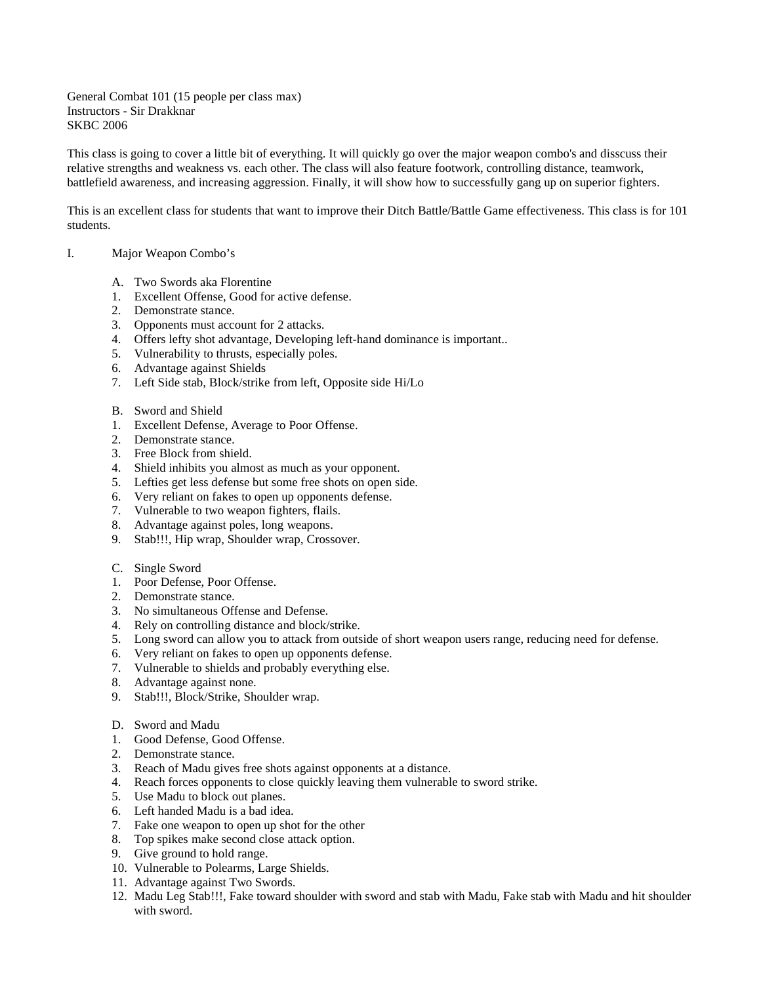General Combat 101 (15 people per class max) Instructors - Sir Drakknar SKBC 2006

This class is going to cover a little bit of everything. It will quickly go over the major weapon combo's and disscuss their relative strengths and weakness vs. each other. The class will also feature footwork, controlling distance, teamwork, battlefield awareness, and increasing aggression. Finally, it will show how to successfully gang up on superior fighters.

This is an excellent class for students that want to improve their Ditch Battle/Battle Game effectiveness. This class is for 101 students.

# I. Major Weapon Combo's

- A. Two Swords aka Florentine
- 1. Excellent Offense, Good for active defense.
- 2. Demonstrate stance.
- 3. Opponents must account for 2 attacks.
- 4. Offers lefty shot advantage, Developing left-hand dominance is important..
- 5. Vulnerability to thrusts, especially poles.
- 6. Advantage against Shields
- 7. Left Side stab, Block/strike from left, Opposite side Hi/Lo
- B. Sword and Shield
- 1. Excellent Defense, Average to Poor Offense.
- 2. Demonstrate stance.
- 3. Free Block from shield.
- 4. Shield inhibits you almost as much as your opponent.
- 5. Lefties get less defense but some free shots on open side.
- 6. Very reliant on fakes to open up opponents defense.
- 7. Vulnerable to two weapon fighters, flails.
- 8. Advantage against poles, long weapons.
- 9. Stab!!!, Hip wrap, Shoulder wrap, Crossover.
- C. Single Sword
- 1. Poor Defense, Poor Offense.
- 2. Demonstrate stance.
- 3. No simultaneous Offense and Defense.
- 4. Rely on controlling distance and block/strike.
- 5. Long sword can allow you to attack from outside of short weapon users range, reducing need for defense.
- 6. Very reliant on fakes to open up opponents defense.
- 7. Vulnerable to shields and probably everything else.
- 8. Advantage against none.
- 9. Stab!!!, Block/Strike, Shoulder wrap.
- D. Sword and Madu
- 1. Good Defense, Good Offense.
- 2. Demonstrate stance.
- 3. Reach of Madu gives free shots against opponents at a distance.
- 4. Reach forces opponents to close quickly leaving them vulnerable to sword strike.
- 5. Use Madu to block out planes.
- 6. Left handed Madu is a bad idea.
- 7. Fake one weapon to open up shot for the other
- 8. Top spikes make second close attack option.
- 9. Give ground to hold range.
- 10. Vulnerable to Polearms, Large Shields.
- 11. Advantage against Two Swords.
- 12. Madu Leg Stab!!!, Fake toward shoulder with sword and stab with Madu, Fake stab with Madu and hit shoulder with sword.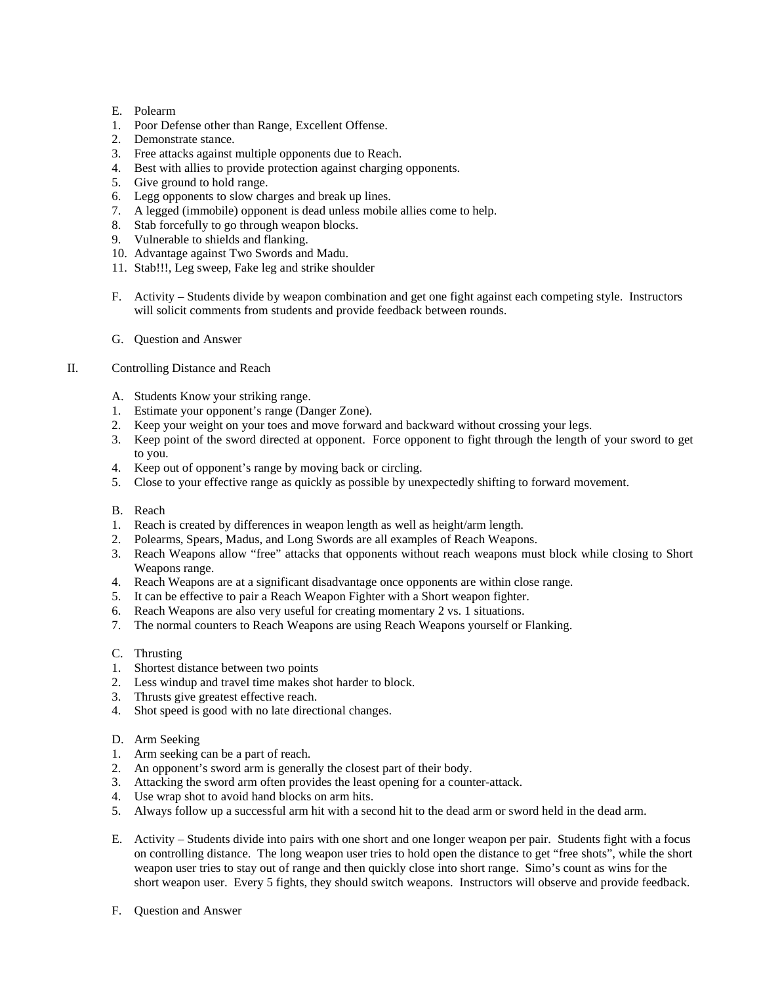- E. Polearm
- 1. Poor Defense other than Range, Excellent Offense.
- 2. Demonstrate stance.
- 3. Free attacks against multiple opponents due to Reach.
- 4. Best with allies to provide protection against charging opponents.
- 5. Give ground to hold range.
- 6. Legg opponents to slow charges and break up lines.
- 7. A legged (immobile) opponent is dead unless mobile allies come to help.
- 8. Stab forcefully to go through weapon blocks.
- 9. Vulnerable to shields and flanking.
- 10. Advantage against Two Swords and Madu.
- 11. Stab!!!, Leg sweep, Fake leg and strike shoulder
- F. Activity Students divide by weapon combination and get one fight against each competing style. Instructors will solicit comments from students and provide feedback between rounds.
- G. Question and Answer

## II. Controlling Distance and Reach

- A. Students Know your striking range.
- 1. Estimate your opponent's range (Danger Zone).
- 2. Keep your weight on your toes and move forward and backward without crossing your legs.
- 3. Keep point of the sword directed at opponent. Force opponent to fight through the length of your sword to get to you.
- 4. Keep out of opponent's range by moving back or circling.
- 5. Close to your effective range as quickly as possible by unexpectedly shifting to forward movement.

#### B. Reach

- 1. Reach is created by differences in weapon length as well as height/arm length.
- 2. Polearms, Spears, Madus, and Long Swords are all examples of Reach Weapons.
- 3. Reach Weapons allow "free" attacks that opponents without reach weapons must block while closing to Short Weapons range.
- 4. Reach Weapons are at a significant disadvantage once opponents are within close range.
- 5. It can be effective to pair a Reach Weapon Fighter with a Short weapon fighter.
- 6. Reach Weapons are also very useful for creating momentary 2 vs. 1 situations.
- 7. The normal counters to Reach Weapons are using Reach Weapons yourself or Flanking.

#### C. Thrusting

- 1. Shortest distance between two points
- 2. Less windup and travel time makes shot harder to block.
- 3. Thrusts give greatest effective reach.
- 4. Shot speed is good with no late directional changes.
- D. Arm Seeking
- 1. Arm seeking can be a part of reach.
- 2. An opponent's sword arm is generally the closest part of their body.
- 3. Attacking the sword arm often provides the least opening for a counter-attack.
- 4. Use wrap shot to avoid hand blocks on arm hits.
- 5. Always follow up a successful arm hit with a second hit to the dead arm or sword held in the dead arm.
- E. Activity Students divide into pairs with one short and one longer weapon per pair. Students fight with a focus on controlling distance. The long weapon user tries to hold open the distance to get "free shots", while the short weapon user tries to stay out of range and then quickly close into short range. Simo's count as wins for the short weapon user. Every 5 fights, they should switch weapons. Instructors will observe and provide feedback.
- F. Question and Answer